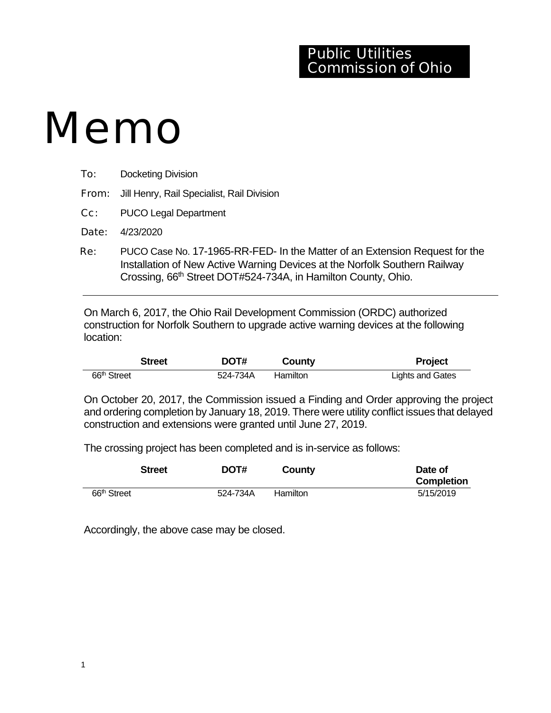## Public Utilities Commission of Ohio

## Memo

| To:                            | <b>Docketing Division</b>                               |
|--------------------------------|---------------------------------------------------------|
|                                | <b>From:</b> Jill Henry, Rail Specialist, Rail Division |
|                                | <b>Cc:</b> PUCO Legal Department                        |
|                                | <b>Date:</b> $4/23/2020$                                |
| $\mathbf{p}_{\mathbf{\alpha}}$ | PLICO Case No. 17-1965-RR-FED- In the Matter of an Ex   |

PUCO Case No. 17-1965-RR-FED- In the Matter of an Extension Request for the Installation of New Active Warning Devices at the Norfolk Southern Railway Crossing, 66<sup>th</sup> Street DOT#524-734A, in Hamilton County, Ohio.

On March 6, 2017, the Ohio Rail Development Commission (ORDC) authorized construction for Norfolk Southern to upgrade active warning devices at the following location:

|                         | <b>Street</b> | DOT#     | County   | <b>Project</b>          |
|-------------------------|---------------|----------|----------|-------------------------|
| 66 <sup>th</sup> Street |               | 524-734A | Hamilton | <b>Lights and Gates</b> |

On October 20, 2017, the Commission issued a Finding and Order approving the project and ordering completion by January 18, 2019. There were utility conflict issues that delayed construction and extensions were granted until June 27, 2019.

The crossing project has been completed and is in-service as follows:

|                         | <b>Street</b> | DOT#     | County   | Date of<br><b>Completion</b> |
|-------------------------|---------------|----------|----------|------------------------------|
| 66 <sup>th</sup> Street |               | 524-734A | Hamilton | 5/15/2019                    |

Accordingly, the above case may be closed.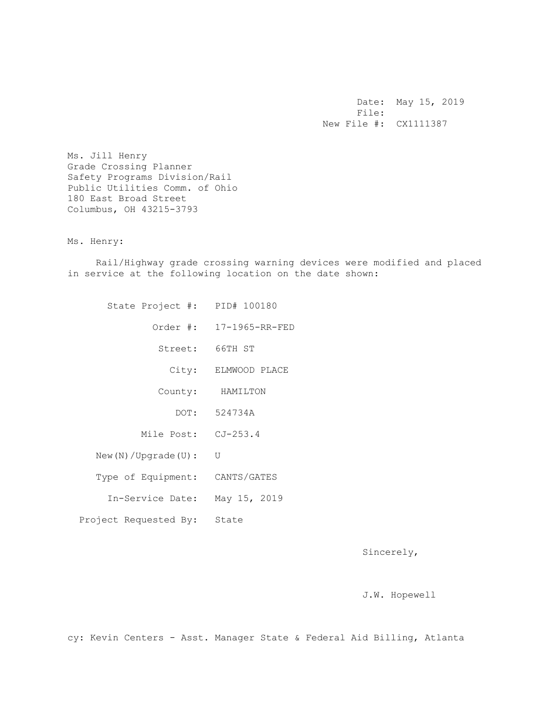Date: May 15, 2019 File: New File #: CX1111387

Ms. Jill Henry Grade Crossing Planner Safety Programs Division/Rail Public Utilities Comm. of Ohio 180 East Broad Street Columbus, OH 43215-3793

Ms. Henry:

 Rail/Highway grade crossing warning devices were modified and placed in service at the following location on the date shown:

| State Project #: PID# 100180   |                         |
|--------------------------------|-------------------------|
|                                | Order #: 17-1965-RR-FED |
|                                | Street: 66TH ST         |
|                                | City: ELMWOOD PLACE     |
|                                | County: HAMILTON        |
|                                | DOT: 524734A            |
| Mile Post: CJ-253.4            |                         |
| New(N) / Upgrade(U):           | U                       |
| Type of Equipment: CANTS/GATES |                         |
| In-Service Date:               | May 15, 2019            |
| Project Requested By: State    |                         |

Sincerely,

J.W. Hopewell

cy: Kevin Centers - Asst. Manager State & Federal Aid Billing, Atlanta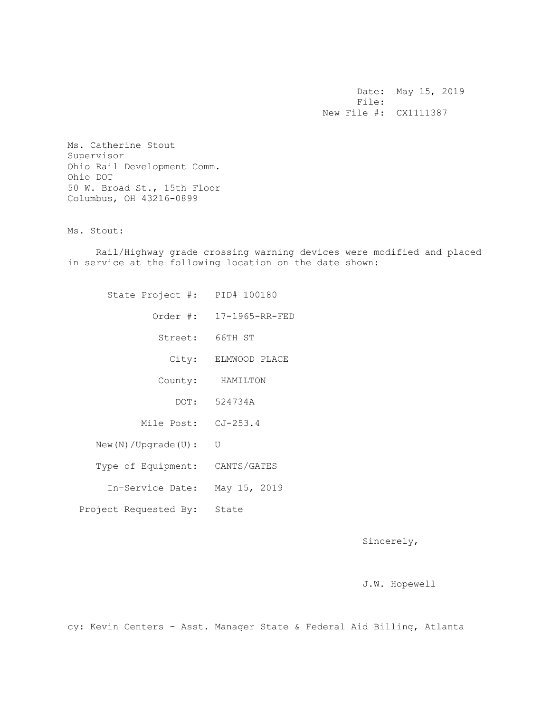Date: May 15, 2019 File: New File #: CX1111387

Ms. Catherine Stout Supervisor Ohio Rail Development Comm. Ohio DOT 50 W. Broad St., 15th Floor Columbus, OH 43216-0899

Ms. Stout:

 Rail/Highway grade crossing warning devices were modified and placed in service at the following location on the date shown:

|                         | State Project #: PID# 100180 |
|-------------------------|------------------------------|
| Order #: 17-1965-RR-FED |                              |
| Street: 66TH ST         |                              |
| ELMWOOD PLACE           | City:                        |
| HAMILTON                | County:                      |
| DOT: 524734A            |                              |
|                         | Mile Post: CJ-253.4          |
| U                       | $New(N) / Upgrade(U)$ :      |
| CANTS/GATES             | Type of Equipment:           |
| May 15, 2019            | In-Service Date:             |
|                         | Project Requested By: State  |
|                         |                              |

Sincerely,

J.W. Hopewell

cy: Kevin Centers - Asst. Manager State & Federal Aid Billing, Atlanta